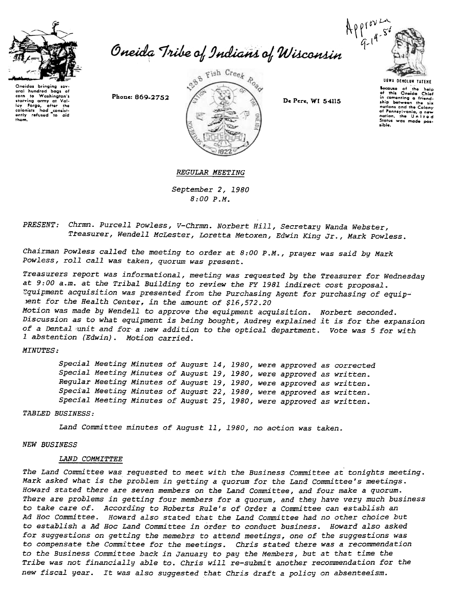

Oneida Tribe of Indians of Wisconsin





sible.

Bocause of the help<br>of this Oneida Chio in comonting a friend. ship between the six nations and the Colony of Pennsylvania, a new nation, the United States was made pos-

REGULAR MEETING

September 2,1980 8:00 P.M.

PRESENT: Chrmn. Purcell Powless, V-Chrmn. Norbert Hill, Secretary Wanda Webster, Treasurer, Wendell McLester, Loretta Metoxen, Edwin King Jr., Mark Powless.

Chairman Powless called the meeting to order at 8:00 P.M., prayer was said by Mark Powless, roll call was taken, quorum was present.

Treasurers report was informational, meeting was requested by the Treasurer for Wednesday at 9:00 a.m. at the Tribal Building to review the FY 1981 indirect cost proposal. :-quipment acquisition was presented from the Purchasing Agent for purchasing of equiplent for the Health Center, in the amount of \$16,572.20 Motion was made by Wendell to approve the equipment acquisition. Norbert seconded. Discussion as to what equipment is being bought, Audrey explained it is for the expansion

of a Dental 'unit and for a new addition to the optical department. Vote was 5 for with 1 abstention (Edwin). Motion carried.

MINUTES:

Special Meeting Minutes of August 14, 1980, were approved as corrected Special Meeting Minutes of August 19,1980, were approved as written. Regular Meeting Minutes of August 19,1980, were approved as written. Special Meeting Minutes of August 22, 1980, were approved as written. Special Meeting Minutes of August 25, 1980, were approved as written.

TABLED BUSINESS:

Land Committee minutes of August 11, 1980, no action was taken.

#### NEW BUSINESS

## LAND COMMITTEE

The Land Committee was requested to meet with the Business Committee at tonights meeting. Mark asked what is the problem in getting a quorum for the Land Committee's meetings. Howard stated there are seven members on the Land Committee, and four make a quorum. There are problems in getting four members for a quorum, and they have very much business to take care of. According to Roberts Rule's of Order a Committee can establish an Ad Hoc Committee. Howard also stated that the Land Committee had no other choice but to establish a Ad Hoc Land Committee in order to conduct business. Howard also asked for suggestions on getting the memebrs to attend meetings, one of the suggestions was to compensate the Committee for the meetings. Chris stated there was a recommendation to the Business Committee back in January to pay the Members, but at that time the Tribe was not financially able to. Chris will re-submit another recommendation for the new fiscal year. It was also suggested that Chris draft a policy on absenteeism.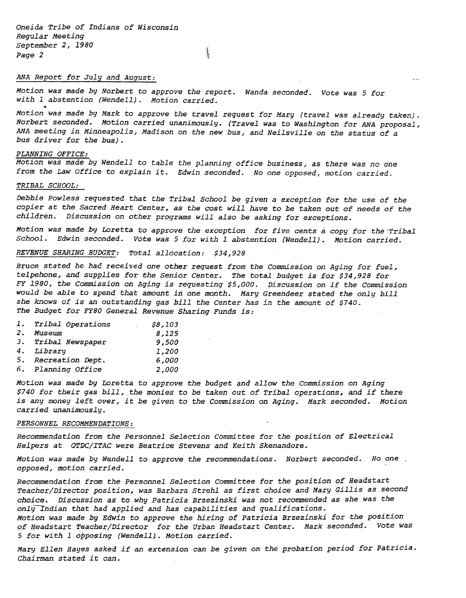Oneida Tribe of Indians of Wisconsin Regular Meeting September 2,1980 Page 2

# ANA Report for July and August:  $\frac{1}{2}$  and  $\frac{1}{2}$  and  $\frac{1}{2}$  and  $\frac{1}{2}$  and  $\frac{1}{2}$  and  $\frac{1}{2}$  and  $\frac{1}{2}$  and  $\frac{1}{2}$  and  $\frac{1}{2}$  and  $\frac{1}{2}$  and  $\frac{1}{2}$  and  $\frac{1}{2}$  and  $\frac{1}{2}$  and  $\frac{1}{2}$

Motion was made by Norbert to approve the report. Wanda seconded. Vote was 5 for with 1 abstention (Wendell). Motion carrie

 $\left| \right|$ 

Motion was made by Mark to approve the travel request for Mary (travel was already taken). Norbert seconded. Motion carried unanimously. (Travel was to Washington for ANA proposal, ANA meeting in Minneapolis, Madison on the new bus, and Neilsville on the status of a bus driver for the bus).

### PLANNING OFFICE:

Motion was made by Wendell to table the planning office business, as there was no one from the Law Office to explain it. Edwin seconded. No one opposed, motion carried.

# TRIBAL SCHOOL:

Debbie Powless requested that the Tribal School be given a exception for the use of the copier at the Sacred Heart Center, as the cost will have to be taken out of needs of the children. Discussion on other programs will also be asking for exceptions.

Motion was made by Loretta to approve the exception for five cents a copy for the Tribal School. Edwin seconded. Vote was 5 for with 1 abstention (Wendell). Motion carried.

REVENUE SHARING BUDGET: Total allocation: \$34,928

Bruce stated he had received one other request from the commission on Aging for fuel, telpehone, and supplies for the Senior Center. The total budget is for \$34,928 for FY 1980, the Commission on Aging is requesting \$5,000. Discussion on if the Commission would be able to spend that amount in one month. Mary Greendeer stated the only bill she knows of is an outstanding gas bill the Center has in the amount of \$740. The Budget for FY80 General Revenue Sharing Funds is:

|    | 1. Tribal Operations | \$8,103 |
|----|----------------------|---------|
| 2. | Museum               | 8,125   |
|    | 3. Tribal Newspaper  | 9,500   |
|    | 4. Library           | 1,200   |
|    | 5. Recreation Dept.  | 6,000   |
|    | 6. Planning Office   | 2,000   |

Motion was made by Loretta to approve the budget and allow the Commission on Aging \$740 for their gas bill, the monies to be taken out of Tribal operations, and if there is any money left over, it be given to the Commission on Aging. Mark seconded. Motion carried unanimously.

## PERSONNEL RECOMMENDATIONS:

Recommendation from the Personnel Selection Committee for the position of Electrical Helpers at OTDC/ITAC were Beatrice Stevens and Keith Skenandore.

Motion was made by Wendell to approve the recommendations. Norbert seconded. No one. opposed, motion carried.

Recommendation from the Personnel Selection Committee for the position of Headstart Teacher/Director position, was Barbara Strehl as first choice and Mary Gillis as second choice. Discussion as to why Patricia Brzezinski was not recommended as she was the only Indian that had applied and has capabilities and qualifications.

Motion was made by Edwin to approve the hiring of Patricia Brzezinski for the position of Headstart Teacher/Director for the Urban Headstart Center. Mark seconded. Vote was 5 for with 1 opposing (Wendell). Motion carried.

Mary Ellen Hayes asked if an extension can be given on the probation period for Patricia. Chairman stated it can.